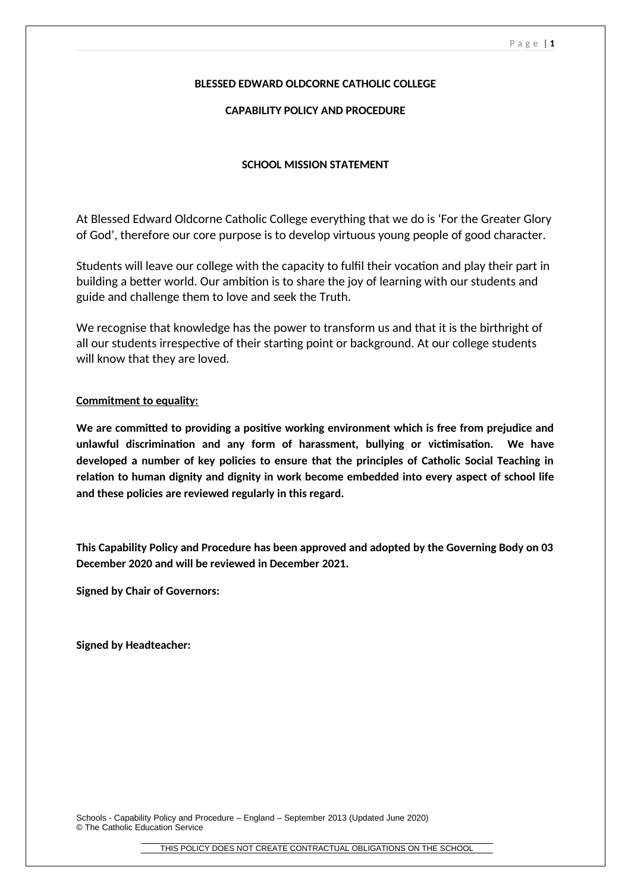## **BLESSED EDWARD OLDCORNE CATHOLIC COLLEGE**

## **CAPABILITY POLICY AND PROCEDURE**

## **SCHOOL MISSION STATEMENT**

At Blessed Edward Oldcorne Catholic College everything that we do is 'For the Greater Glory of God', therefore our core purpose is to develop virtuous young people of good character.

Students will leave our college with the capacity to fulfil their vocation and play their part in building a better world. Our ambition is to share the joy of learning with our students and guide and challenge them to love and seek the Truth.

We recognise that knowledge has the power to transform us and that it is the birthright of all our students irrespective of their starting point or background. At our college students will know that they are loved.

## **Commitment to equality:**

**We are committed to providing a positive working environment which is free from prejudice and unlawful discrimination and any form of harassment, bullying or victimisation. We have developed a number of key policies to ensure that the principles of Catholic Social Teaching in relation to human dignity and dignity in work become embedded into every aspect of school life and these policies are reviewed regularly in this regard.**

**This Capability Policy and Procedure has been approved and adopted by the Governing Body on 03 December 2020 and will be reviewed in December 2021.**

**Signed by Chair of Governors:**

**Signed by Headteacher:**

Schools - Capability Policy and Procedure – England – September 2013 (Updated June 2020) © The Catholic Education Service

THIS POLICY DOES NOT CREATE CONTRACTUAL OBLIGATIONS ON THE SCHOOL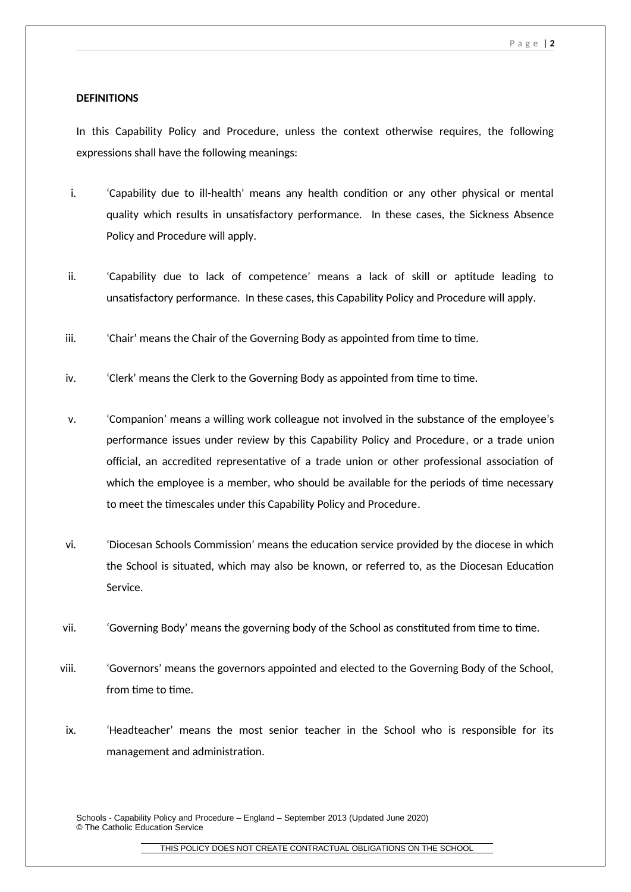#### **DEFINITIONS**

In this Capability Policy and Procedure, unless the context otherwise requires, the following expressions shall have the following meanings:

- i. 'Capability due to ill-health' means any health condition or any other physical or mental quality which results in unsatisfactory performance. In these cases, the Sickness Absence Policy and Procedure will apply.
- ii. 'Capability due to lack of competence' means a lack of skill or aptitude leading to unsatisfactory performance. In these cases, this Capability Policy and Procedure will apply.
- iii. 'Chair' means the Chair of the Governing Body as appointed from time to time.
- iv. 'Clerk' means the Clerk to the Governing Body as appointed from time to time.
- v. 'Companion' means a willing work colleague not involved in the substance of the employee's performance issues under review by this Capability Policy and Procedure, or a trade union official, an accredited representative of a trade union or other professional association of which the employee is a member, who should be available for the periods of time necessary to meet the timescales under this Capability Policy and Procedure.
- vi. 'Diocesan Schools Commission' means the education service provided by the diocese in which the School is situated, which may also be known, or referred to, as the Diocesan Education Service.
- vii. 'Governing Body' means the governing body of the School as constituted from time to time.
- viii. 'Governors' means the governors appointed and elected to the Governing Body of the School, from time to time.
- ix. 'Headteacher' means the most senior teacher in the School who is responsible for its management and administration.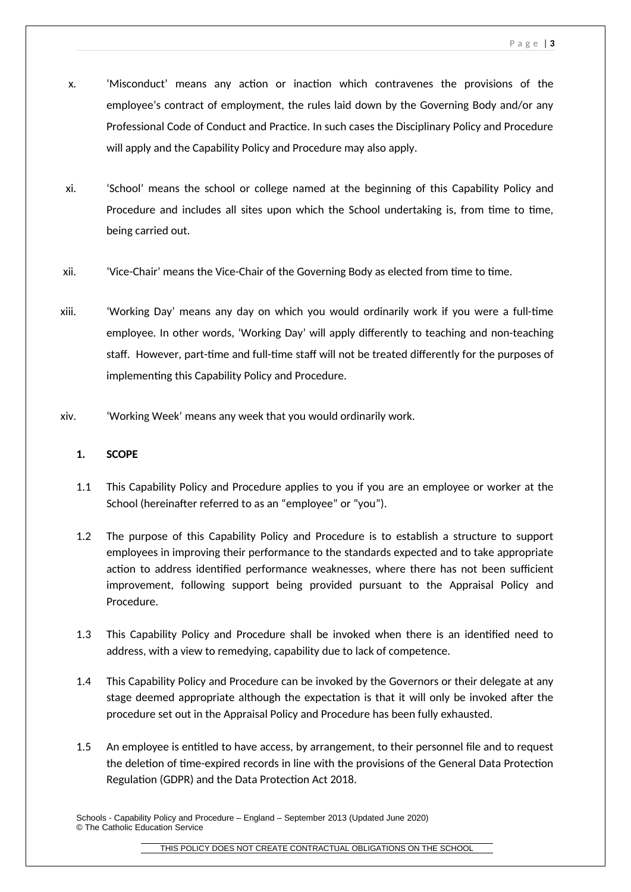- x. 'Misconduct' means any action or inaction which contravenes the provisions of the employee's contract of employment, the rules laid down by the Governing Body and/or any Professional Code of Conduct and Practice. In such cases the Disciplinary Policy and Procedure will apply and the Capability Policy and Procedure may also apply.
- xi. 'School' means the school or college named at the beginning of this Capability Policy and Procedure and includes all sites upon which the School undertaking is, from time to time, being carried out.
- xii. 'Vice-Chair' means the Vice-Chair of the Governing Body as elected from time to time.
- xiii. 'Working Day' means any day on which you would ordinarily work if you were a full-time employee. In other words, 'Working Day' will apply differently to teaching and non-teaching staff. However, part-time and full-time staff will not be treated differently for the purposes of implementing this Capability Policy and Procedure.
- xiv. 'Working Week' means any week that you would ordinarily work.

# **1. SCOPE**

- 1.1 This Capability Policy and Procedure applies to you if you are an employee or worker at the School (hereinafter referred to as an "employee" or "you").
- 1.2 The purpose of this Capability Policy and Procedure is to establish a structure to support employees in improving their performance to the standards expected and to take appropriate action to address identified performance weaknesses, where there has not been sufficient improvement, following support being provided pursuant to the Appraisal Policy and Procedure.
- 1.3 This Capability Policy and Procedure shall be invoked when there is an identified need to address, with a view to remedying, capability due to lack of competence.
- 1.4 This Capability Policy and Procedure can be invoked by the Governors or their delegate at any stage deemed appropriate although the expectation is that it will only be invoked after the procedure set out in the Appraisal Policy and Procedure has been fully exhausted.
- 1.5 An employee is entitled to have access, by arrangement, to their personnel file and to request the deletion of time-expired records in line with the provisions of the General Data Protection Regulation (GDPR) and the Data Protection Act 2018.

Schools - Capability Policy and Procedure – England – September 2013 (Updated June 2020) © The Catholic Education Service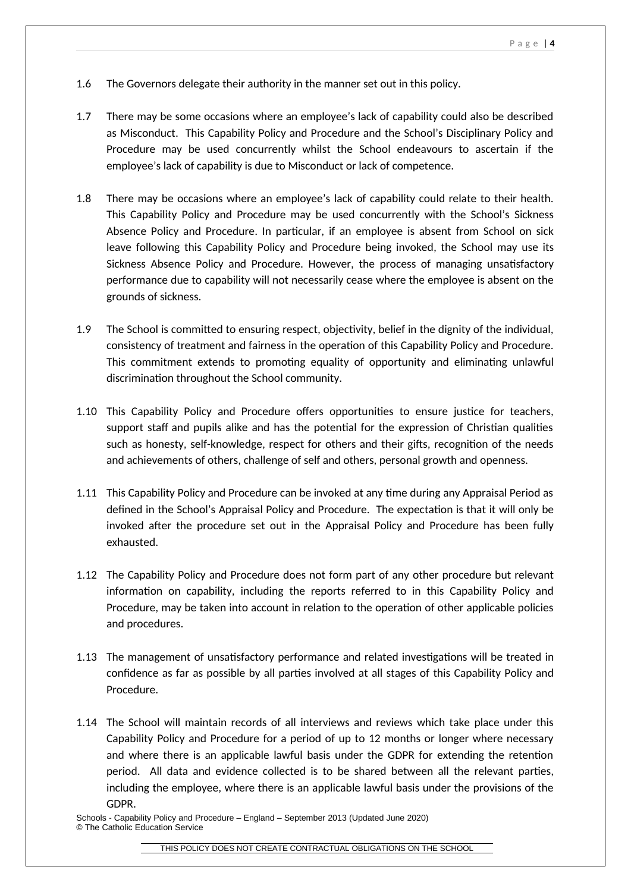- 1.6 The Governors delegate their authority in the manner set out in this policy.
- 1.7 There may be some occasions where an employee's lack of capability could also be described as Misconduct. This Capability Policy and Procedure and the School's Disciplinary Policy and Procedure may be used concurrently whilst the School endeavours to ascertain if the employee's lack of capability is due to Misconduct or lack of competence.
- 1.8 There may be occasions where an employee's lack of capability could relate to their health. This Capability Policy and Procedure may be used concurrently with the School's Sickness Absence Policy and Procedure. In particular, if an employee is absent from School on sick leave following this Capability Policy and Procedure being invoked, the School may use its Sickness Absence Policy and Procedure. However, the process of managing unsatisfactory performance due to capability will not necessarily cease where the employee is absent on the grounds of sickness.
- 1.9 The School is committed to ensuring respect, objectivity, belief in the dignity of the individual, consistency of treatment and fairness in the operation of this Capability Policy and Procedure. This commitment extends to promoting equality of opportunity and eliminating unlawful discrimination throughout the School community.
- 1.10 This Capability Policy and Procedure offers opportunities to ensure justice for teachers, support staff and pupils alike and has the potential for the expression of Christian qualities such as honesty, self-knowledge, respect for others and their gifts, recognition of the needs and achievements of others, challenge of self and others, personal growth and openness.
- 1.11 This Capability Policy and Procedure can be invoked at any time during any Appraisal Period as defined in the School's Appraisal Policy and Procedure. The expectation is that it will only be invoked after the procedure set out in the Appraisal Policy and Procedure has been fully exhausted.
- 1.12 The Capability Policy and Procedure does not form part of any other procedure but relevant information on capability, including the reports referred to in this Capability Policy and Procedure, may be taken into account in relation to the operation of other applicable policies and procedures.
- 1.13 The management of unsatisfactory performance and related investigations will be treated in confidence as far as possible by all parties involved at all stages of this Capability Policy and Procedure.
- 1.14 The School will maintain records of all interviews and reviews which take place under this Capability Policy and Procedure for a period of up to 12 months or longer where necessary and where there is an applicable lawful basis under the GDPR for extending the retention period. All data and evidence collected is to be shared between all the relevant parties, including the employee, where there is an applicable lawful basis under the provisions of the GDPR.

Schools - Capability Policy and Procedure – England – September 2013 (Updated June 2020) © The Catholic Education Service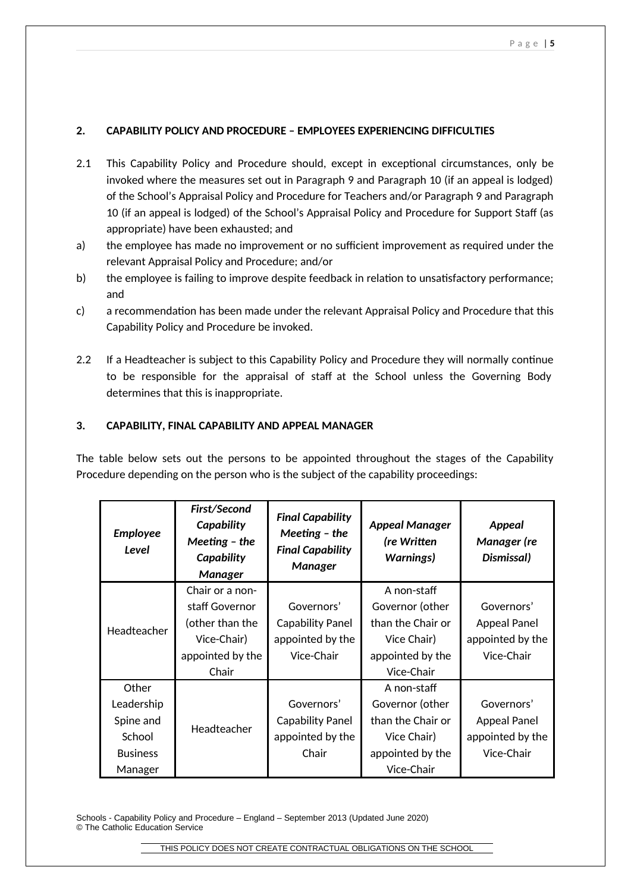# **2. CAPABILITY POLICY AND PROCEDURE – EMPLOYEES EXPERIENCING DIFFICULTIES**

- 2.1 This Capability Policy and Procedure should, except in exceptional circumstances, only be invoked where the measures set out in Paragraph 9 and Paragraph 10 (if an appeal is lodged) of the School's Appraisal Policy and Procedure for Teachers and/or Paragraph 9 and Paragraph 10 (if an appeal is lodged) of the School's Appraisal Policy and Procedure for Support Staff (as appropriate) have been exhausted; and
- a) the employee has made no improvement or no sufficient improvement as required under the relevant Appraisal Policy and Procedure; and/or
- b) the employee is failing to improve despite feedback in relation to unsatisfactory performance; and
- c) a recommendation has been made under the relevant Appraisal Policy and Procedure that this Capability Policy and Procedure be invoked.
- 2.2 If a Headteacher is subject to this Capability Policy and Procedure they will normally continue to be responsible for the appraisal of staff at the School unless the Governing Body determines that this is inappropriate.

# **3. CAPABILITY, FINAL CAPABILITY AND APPEAL MANAGER**

The table below sets out the persons to be appointed throughout the stages of the Capability Procedure depending on the person who is the subject of the capability proceedings:

| <b>Employee</b><br>Level | First/Second<br>Capability<br>Meeting - the<br>Capability<br><b>Manager</b> | <b>Final Capability</b><br>Meeting $-$ the<br><b>Final Capability</b><br><b>Manager</b> | <b>Appeal Manager</b><br>(re Written<br><b>Warnings)</b> | Appeal<br>Manager (re<br>Dismissal) |
|--------------------------|-----------------------------------------------------------------------------|-----------------------------------------------------------------------------------------|----------------------------------------------------------|-------------------------------------|
| Headteacher              | Chair or a non-                                                             |                                                                                         | A non-staff                                              |                                     |
|                          | staff Governor                                                              | Governors'                                                                              | Governor (other                                          | Governors'                          |
|                          | (other than the                                                             | <b>Capability Panel</b>                                                                 | than the Chair or                                        | <b>Appeal Panel</b>                 |
|                          | Vice-Chair)                                                                 | appointed by the                                                                        | Vice Chair)                                              | appointed by the                    |
|                          | appointed by the                                                            | Vice-Chair                                                                              | appointed by the                                         | Vice-Chair                          |
|                          | Chair                                                                       |                                                                                         | Vice-Chair                                               |                                     |
| Other                    |                                                                             |                                                                                         | A non-staff                                              |                                     |
| Leadership               |                                                                             | Governors'                                                                              | Governor (other                                          | Governors'                          |
| Spine and                | Headteacher                                                                 | <b>Capability Panel</b>                                                                 | than the Chair or                                        | <b>Appeal Panel</b>                 |
| School                   |                                                                             | appointed by the                                                                        | Vice Chair)                                              | appointed by the                    |
| <b>Business</b>          |                                                                             | Chair                                                                                   | appointed by the                                         | Vice-Chair                          |
| Manager                  |                                                                             |                                                                                         | Vice-Chair                                               |                                     |

Schools - Capability Policy and Procedure – England – September 2013 (Updated June 2020) © The Catholic Education Service

THIS POLICY DOES NOT CREATE CONTRACTUAL OBLIGATIONS ON THE SCHOOL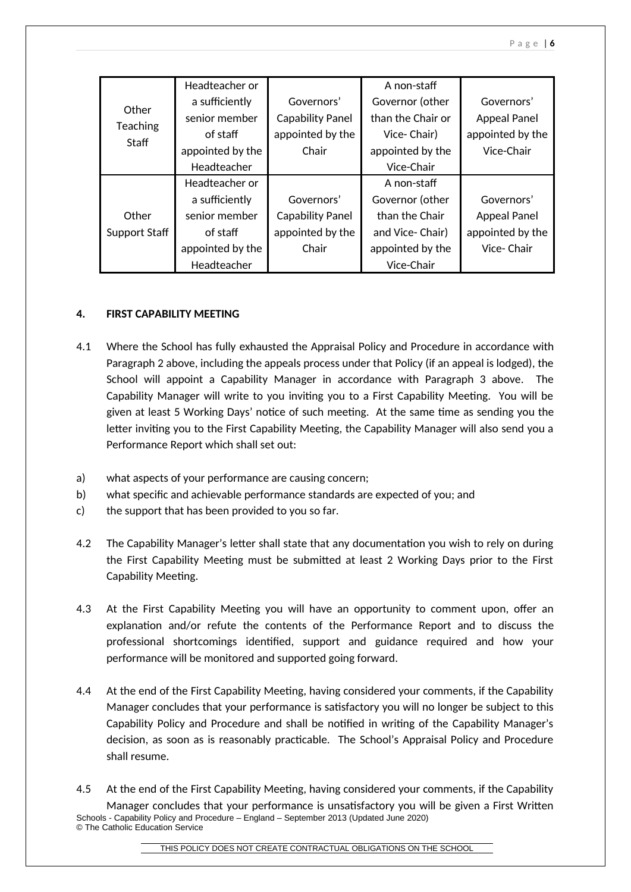| Other<br><b>Teaching</b><br>Staff | Headteacher or   |                         | A non-staff       |                     |
|-----------------------------------|------------------|-------------------------|-------------------|---------------------|
|                                   | a sufficiently   | Governors'              | Governor (other   | Governors'          |
|                                   | senior member    | <b>Capability Panel</b> | than the Chair or | <b>Appeal Panel</b> |
|                                   | of staff         | appointed by the        | Vice-Chair)       | appointed by the    |
|                                   | appointed by the | Chair                   | appointed by the  | Vice-Chair          |
|                                   | Headteacher      |                         | Vice-Chair        |                     |
|                                   | Headteacher or   |                         | A non-staff       |                     |
|                                   | a sufficiently   | Governors'              | Governor (other   | Governors'          |
| Other                             | senior member    | <b>Capability Panel</b> | than the Chair    | <b>Appeal Panel</b> |
| Support Staff                     | of staff         | appointed by the        | and Vice-Chair)   | appointed by the    |
|                                   | appointed by the | Chair                   | appointed by the  | Vice-Chair          |
|                                   | Headteacher      |                         | Vice-Chair        |                     |

# **4. FIRST CAPABILITY MEETING**

- 4.1 Where the School has fully exhausted the Appraisal Policy and Procedure in accordance with Paragraph 2 above, including the appeals process under that Policy (if an appeal is lodged), the School will appoint a Capability Manager in accordance with Paragraph 3 above. The Capability Manager will write to you inviting you to a First Capability Meeting. You will be given at least 5 Working Days' notice of such meeting. At the same time as sending you the letter inviting you to the First Capability Meeting, the Capability Manager will also send you a Performance Report which shall set out:
- a) what aspects of your performance are causing concern;
- b) what specific and achievable performance standards are expected of you; and
- c) the support that has been provided to you so far.
- 4.2 The Capability Manager's letter shall state that any documentation you wish to rely on during the First Capability Meeting must be submitted at least 2 Working Days prior to the First Capability Meeting.
- 4.3 At the First Capability Meeting you will have an opportunity to comment upon, offer an explanation and/or refute the contents of the Performance Report and to discuss the professional shortcomings identified, support and guidance required and how your performance will be monitored and supported going forward.
- 4.4 At the end of the First Capability Meeting, having considered your comments, if the Capability Manager concludes that your performance is satisfactory you will no longer be subject to this Capability Policy and Procedure and shall be notified in writing of the Capability Manager's decision, as soon as is reasonably practicable. The School's Appraisal Policy and Procedure shall resume.
- 4.5 At the end of the First Capability Meeting, having considered your comments, if the Capability Manager concludes that your performance is unsatisfactory you will be given a First Written Schools - Capability Policy and Procedure – England – September 2013 (Updated June 2020) © The Catholic Education Service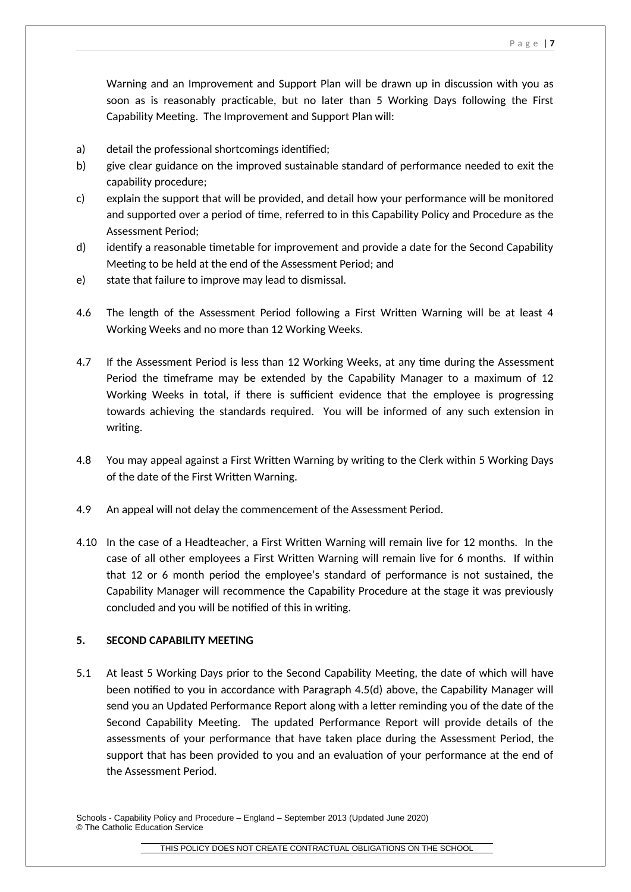Warning and an Improvement and Support Plan will be drawn up in discussion with you as soon as is reasonably practicable, but no later than 5 Working Days following the First Capability Meeting. The Improvement and Support Plan will:

- a) detail the professional shortcomings identified;
- b) give clear guidance on the improved sustainable standard of performance needed to exit the capability procedure;
- c) explain the support that will be provided, and detail how your performance will be monitored and supported over a period of time, referred to in this Capability Policy and Procedure as the Assessment Period;
- d) identify a reasonable timetable for improvement and provide a date for the Second Capability Meeting to be held at the end of the Assessment Period; and
- e) state that failure to improve may lead to dismissal.
- 4.6 The length of the Assessment Period following a First Written Warning will be at least 4 Working Weeks and no more than 12 Working Weeks.
- 4.7 If the Assessment Period is less than 12 Working Weeks, at any time during the Assessment Period the timeframe may be extended by the Capability Manager to a maximum of 12 Working Weeks in total, if there is sufficient evidence that the employee is progressing towards achieving the standards required. You will be informed of any such extension in writing.
- 4.8 You may appeal against a First Written Warning by writing to the Clerk within 5 Working Days of the date of the First Written Warning.
- 4.9 An appeal will not delay the commencement of the Assessment Period.
- 4.10 In the case of a Headteacher, a First Written Warning will remain live for 12 months. In the case of all other employees a First Written Warning will remain live for 6 months. If within that 12 or 6 month period the employee's standard of performance is not sustained, the Capability Manager will recommence the Capability Procedure at the stage it was previously concluded and you will be notified of this in writing.

# **5. SECOND CAPABILITY MEETING**

5.1 At least 5 Working Days prior to the Second Capability Meeting, the date of which will have been notified to you in accordance with Paragraph 4.5(d) above, the Capability Manager will send you an Updated Performance Report along with a letter reminding you of the date of the Second Capability Meeting. The updated Performance Report will provide details of the assessments of your performance that have taken place during the Assessment Period, the support that has been provided to you and an evaluation of your performance at the end of the Assessment Period.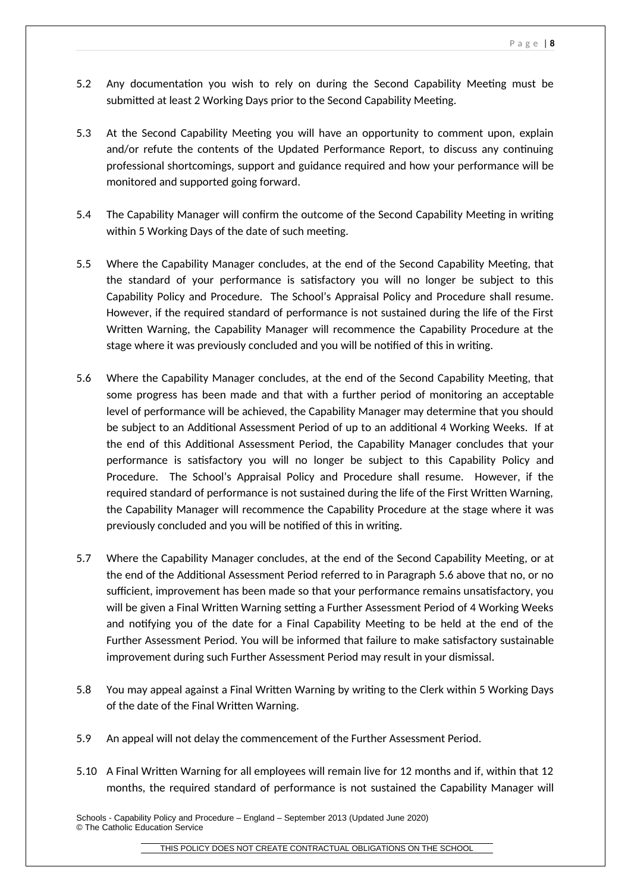- 5.2 Any documentation you wish to rely on during the Second Capability Meeting must be submitted at least 2 Working Days prior to the Second Capability Meeting.
- 5.3 At the Second Capability Meeting you will have an opportunity to comment upon, explain and/or refute the contents of the Updated Performance Report, to discuss any continuing professional shortcomings, support and guidance required and how your performance will be monitored and supported going forward.
- 5.4 The Capability Manager will confirm the outcome of the Second Capability Meeting in writing within 5 Working Days of the date of such meeting.
- 5.5 Where the Capability Manager concludes, at the end of the Second Capability Meeting, that the standard of your performance is satisfactory you will no longer be subject to this Capability Policy and Procedure. The School's Appraisal Policy and Procedure shall resume. However, if the required standard of performance is not sustained during the life of the First Written Warning, the Capability Manager will recommence the Capability Procedure at the stage where it was previously concluded and you will be notified of this in writing.
- 5.6 Where the Capability Manager concludes, at the end of the Second Capability Meeting, that some progress has been made and that with a further period of monitoring an acceptable level of performance will be achieved, the Capability Manager may determine that you should be subject to an Additional Assessment Period of up to an additional 4 Working Weeks. If at the end of this Additional Assessment Period, the Capability Manager concludes that your performance is satisfactory you will no longer be subject to this Capability Policy and Procedure. The School's Appraisal Policy and Procedure shall resume. However, if the required standard of performance is not sustained during the life of the First Written Warning, the Capability Manager will recommence the Capability Procedure at the stage where it was previously concluded and you will be notified of this in writing.
- 5.7 Where the Capability Manager concludes, at the end of the Second Capability Meeting, or at the end of the Additional Assessment Period referred to in Paragraph 5.6 above that no, or no sufficient, improvement has been made so that your performance remains unsatisfactory, you will be given a Final Written Warning setting a Further Assessment Period of 4 Working Weeks and notifying you of the date for a Final Capability Meeting to be held at the end of the Further Assessment Period. You will be informed that failure to make satisfactory sustainable improvement during such Further Assessment Period may result in your dismissal.
- 5.8 You may appeal against a Final Written Warning by writing to the Clerk within 5 Working Days of the date of the Final Written Warning.
- 5.9 An appeal will not delay the commencement of the Further Assessment Period.
- 5.10 A Final Written Warning for all employees will remain live for 12 months and if, within that 12 months, the required standard of performance is not sustained the Capability Manager will

Schools - Capability Policy and Procedure – England – September 2013 (Updated June 2020) © The Catholic Education Service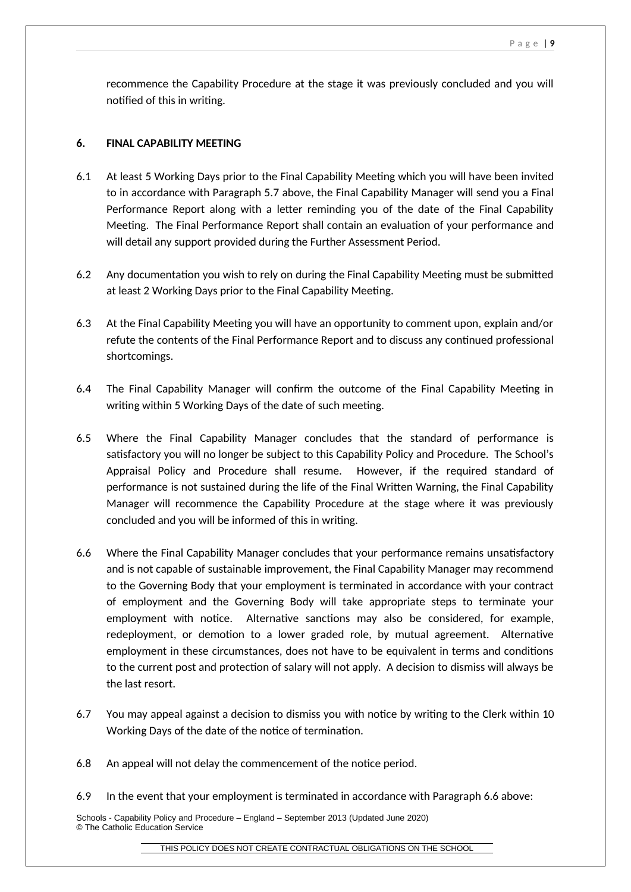recommence the Capability Procedure at the stage it was previously concluded and you will notified of this in writing.

# **6. FINAL CAPABILITY MEETING**

- 6.1 At least 5 Working Days prior to the Final Capability Meeting which you will have been invited to in accordance with Paragraph 5.7 above, the Final Capability Manager will send you a Final Performance Report along with a letter reminding you of the date of the Final Capability Meeting. The Final Performance Report shall contain an evaluation of your performance and will detail any support provided during the Further Assessment Period.
- 6.2 Any documentation you wish to rely on during the Final Capability Meeting must be submitted at least 2 Working Days prior to the Final Capability Meeting.
- 6.3 At the Final Capability Meeting you will have an opportunity to comment upon, explain and/or refute the contents of the Final Performance Report and to discuss any continued professional shortcomings.
- 6.4 The Final Capability Manager will confirm the outcome of the Final Capability Meeting in writing within 5 Working Days of the date of such meeting.
- 6.5 Where the Final Capability Manager concludes that the standard of performance is satisfactory you will no longer be subject to this Capability Policy and Procedure. The School's Appraisal Policy and Procedure shall resume. However, if the required standard of performance is not sustained during the life of the Final Written Warning, the Final Capability Manager will recommence the Capability Procedure at the stage where it was previously concluded and you will be informed of this in writing.
- 6.6 Where the Final Capability Manager concludes that your performance remains unsatisfactory and is not capable of sustainable improvement, the Final Capability Manager may recommend to the Governing Body that your employment is terminated in accordance with your contract of employment and the Governing Body will take appropriate steps to terminate your employment with notice. Alternative sanctions may also be considered, for example, redeployment, or demotion to a lower graded role, by mutual agreement. Alternative employment in these circumstances, does not have to be equivalent in terms and conditions to the current post and protection of salary will not apply. A decision to dismiss will always be the last resort.
- 6.7 You may appeal against a decision to dismiss you with notice by writing to the Clerk within 10 Working Days of the date of the notice of termination.
- 6.8 An appeal will not delay the commencement of the notice period.
- 6.9 In the event that your employment is terminated in accordance with Paragraph 6.6 above: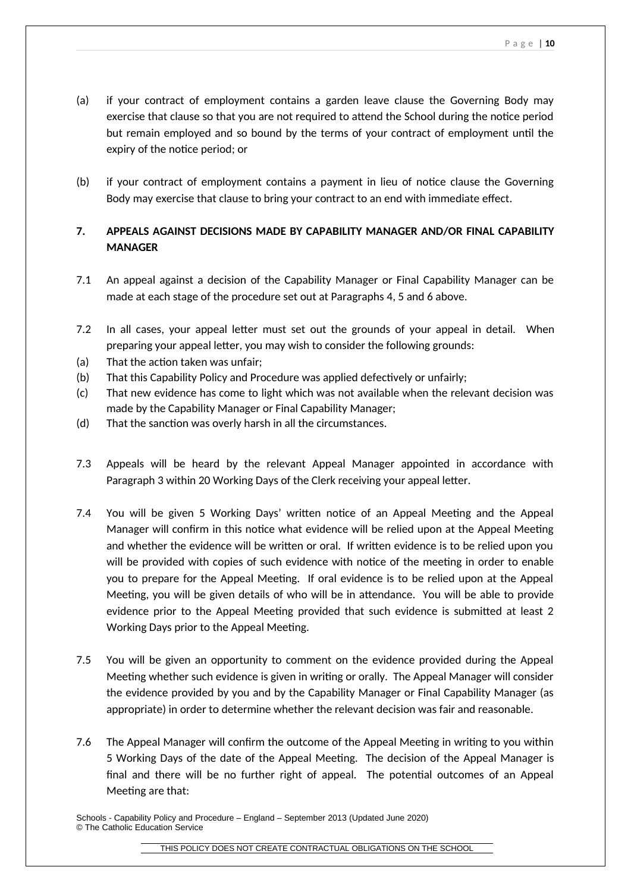- (a) if your contract of employment contains a garden leave clause the Governing Body may exercise that clause so that you are not required to attend the School during the notice period but remain employed and so bound by the terms of your contract of employment until the expiry of the notice period; or
- (b) if your contract of employment contains a payment in lieu of notice clause the Governing Body may exercise that clause to bring your contract to an end with immediate effect.

# **7. APPEALS AGAINST DECISIONS MADE BY CAPABILITY MANAGER AND/OR FINAL CAPABILITY MANAGER**

- 7.1 An appeal against a decision of the Capability Manager or Final Capability Manager can be made at each stage of the procedure set out at Paragraphs 4, 5 and 6 above.
- 7.2 In all cases, your appeal letter must set out the grounds of your appeal in detail. When preparing your appeal letter, you may wish to consider the following grounds:
- (a) That the action taken was unfair;
- (b) That this Capability Policy and Procedure was applied defectively or unfairly;
- (c) That new evidence has come to light which was not available when the relevant decision was made by the Capability Manager or Final Capability Manager;
- (d) That the sanction was overly harsh in all the circumstances.
- 7.3 Appeals will be heard by the relevant Appeal Manager appointed in accordance with Paragraph 3 within 20 Working Days of the Clerk receiving your appeal letter.
- 7.4 You will be given 5 Working Days' written notice of an Appeal Meeting and the Appeal Manager will confirm in this notice what evidence will be relied upon at the Appeal Meeting and whether the evidence will be written or oral. If written evidence is to be relied upon you will be provided with copies of such evidence with notice of the meeting in order to enable you to prepare for the Appeal Meeting. If oral evidence is to be relied upon at the Appeal Meeting, you will be given details of who will be in attendance. You will be able to provide evidence prior to the Appeal Meeting provided that such evidence is submitted at least 2 Working Days prior to the Appeal Meeting.
- 7.5 You will be given an opportunity to comment on the evidence provided during the Appeal Meeting whether such evidence is given in writing or orally. The Appeal Manager will consider the evidence provided by you and by the Capability Manager or Final Capability Manager (as appropriate) in order to determine whether the relevant decision was fair and reasonable.
- 7.6 The Appeal Manager will confirm the outcome of the Appeal Meeting in writing to you within 5 Working Days of the date of the Appeal Meeting. The decision of the Appeal Manager is final and there will be no further right of appeal. The potential outcomes of an Appeal Meeting are that:

Schools - Capability Policy and Procedure – England – September 2013 (Updated June 2020) © The Catholic Education Service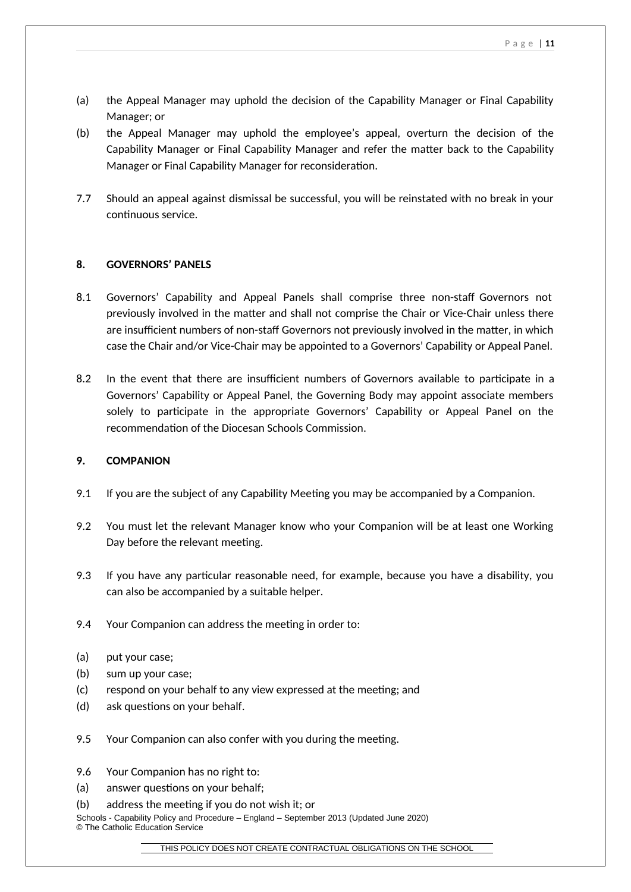- (a) the Appeal Manager may uphold the decision of the Capability Manager or Final Capability Manager; or
- (b) the Appeal Manager may uphold the employee's appeal, overturn the decision of the Capability Manager or Final Capability Manager and refer the matter back to the Capability Manager or Final Capability Manager for reconsideration.
- 7.7 Should an appeal against dismissal be successful, you will be reinstated with no break in your continuous service.

## **8. GOVERNORS' PANELS**

- 8.1 Governors' Capability and Appeal Panels shall comprise three non-staff Governors not previously involved in the matter and shall not comprise the Chair or Vice-Chair unless there are insufficient numbers of non-staff Governors not previously involved in the matter, in which case the Chair and/or Vice-Chair may be appointed to a Governors' Capability or Appeal Panel.
- 8.2 In the event that there are insufficient numbers of Governors available to participate in a Governors' Capability or Appeal Panel, the Governing Body may appoint associate members solely to participate in the appropriate Governors' Capability or Appeal Panel on the recommendation of the Diocesan Schools Commission.

### **9. COMPANION**

- 9.1 If you are the subject of any Capability Meeting you may be accompanied by a Companion.
- 9.2 You must let the relevant Manager know who your Companion will be at least one Working Day before the relevant meeting.
- 9.3 If you have any particular reasonable need, for example, because you have a disability, you can also be accompanied by a suitable helper.
- 9.4 Your Companion can address the meeting in order to:
- (a) put your case;
- (b) sum up your case;
- (c) respond on your behalf to any view expressed at the meeting; and
- (d) ask questions on your behalf.
- 9.5 Your Companion can also confer with you during the meeting.
- 9.6 Your Companion has no right to:
- (a) answer questions on your behalf;
- (b) address the meeting if you do not wish it; or